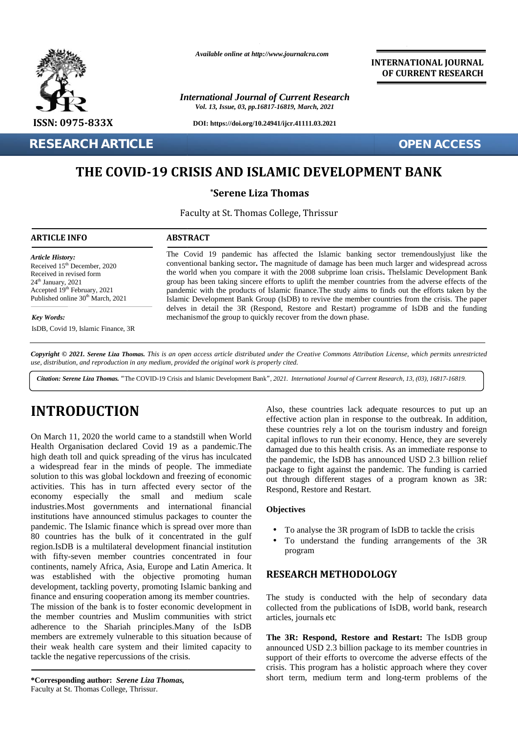

**RESEARCH ARTICLE OPEN ACCESS**

*Available online at http://www.journalcra.com*

*International Journal of Current Research Vol. 13, Issue, 03, pp.16817-16819, March, 2021*

**DOI: https://doi.org/10.24941/ijcr.41111.03.2021**

**INTERNATIONAL JOURNAL OF CURRENT RESEARCH**

## THE COVID-19 CRISIS AND ISLAMIC DEVELOPMENT BANK

**\*Serene Liza Thomas**

Faculty at St. Thomas College, Thrissur Thrissur

#### **ARTICLE INFO ABSTRACT ARTICLE ABSTRACT**

*Article History: ArticleHistory:*Received  $15<sup>th</sup>$  December, 2020 Received in revised form  $24<sup>th</sup>$  January,  $2021$ Accepted  $19<sup>th</sup>$  February, 2021 p. Published online  $30<sup>th</sup>$  March, 2021 **FIFE COVID-1**<br> **THE COVID-1**<br> **ARTICLE INFO**<br>
Article History:<br>
Received 15<sup>th</sup> December, 2020<br>
Received in revised form<br>
24<sup>th</sup> January, 2021<br>
Accepted 19<sup>th</sup> February, 2021

*Key Words:*

IsDB, Covid 19, Islamic Finance, 3R

pandemic with the products of Islamic finance.The study aims to finds out the efforts taken by the Islamic Development Bank Group (IsDB) to revive the member countries from the crisis. The paper delves in detail the 3R (Respond, Restore and Restart) programme of IsDB and the funding mechanismof the group to quickly recover from the down phase. group has been taking sincere efforts to uplift the member countries from the adverse effects of the<br>pandemic with the products of Islamic finance.The study aims to finds out the efforts taken by the<br>Islamic Development Ba December, 2020<br>
Development Bank<sup>n</sup>, 2021<br>
The street of the world when you compare it with the 2008 subprime loan crisis, 7<br>
<sup>th</sup> February, 2021<br>
<sup>th</sup> February, 2021<br>
<sup>th</sup> February, 2021<br>
Illine 30<sup>th</sup> March, 2021<br>
Illine

The Covid 19 pandemic has affected the Islamic banking sector tremendouslyjust like the The Covid 19 pandemic has affected the Islamic banking sector tremendously just like the conventional banking sector. The magnitude of damage has been much larger and widespread across the world when you compare it with the 2008 subprime loan crisis. TheIslamic Development Bank group has been taking sincere efforts to uplift the member countries from the adverse effects of the

Copyright © 2021. Serene Liza Thomas. This is an open access article distributed under the Creative Commons Attribution License, which permits unrestricted use, distribution, and reproduction in any medium, provided the original work is properly cited.

Citation: Serene Liza Thomas. "The COVID-19 Crisis and Islamic Development Bank", 2021. International Journal of Current Research, 13, (03), 16817-16819.

# **INTRODUCTION INTRODUCTION**

On March 11, 2020 the world came to a standstill when World Health Organisation declared Covid 19 as a pandemic. The  $\frac{1}{\text{diam}}$ high death toll and quick spreading of the virus has inculcated a widespread fear in the minds of people. The immediate solution to this was global lockdown and freezing of economic activities. This has in turn affected every sector of the economy especially the small and medium scale industries.Most governments and international financial institutions have announced stimulus packages to counter the pandemic. The Islamic finance which is spread over more than 80 countries has the bulk of it concentrated in the gulf region.IsDB is a multilateral development financial institution activities. This has in turn affected every sector of the<br>
economy especially the small and medium scale<br>
industries.Most governments and international financial<br>
institutions have announced stimulus packages to counter th continents, namely Africa, Asia, Europe and Latin America. It was established with the objective promoting human development, tackling poverty, promoting Islamic banking and finance and ensuring cooperation among its member countries. The mission of the bank is to foster economic development in the member countries and Muslim communities with strict adherence to the Shariah principles.Many of the IsDB members are extremely vulnerable to this situation because of their weak health care system and their limited capacity to tackle the negative repercussions of the crisis. On March 11, 2020 the world came to a standstill when World<br>
Health Organisation declared Covid 19 as a pandemic.The<br>
high death toll and quick spreading of the virus has inculcated<br>
a widespread fear in the minds of peopl continents, namely Africa, Asia, Europe and Latin America. It<br>was established with the objective promoting human<br>development, tackling poverty, promoting Islamic banking and<br>finance and ensuring cooperation among its membe **INTRODUCTION**<br>
Also, these countries lack adequate resources to put p<br>
College, these counterparts of the control of the set adequate these counterparts of the control of the time of<br>
Figure 11, addition, these counters o **32.20**<br>
38. The world when you compact it with the 2008 subperimental and six-began the world when you compact it with the 2008 subperimental controls the properties began to begin the best below the product of Bandine Ch

Also, these countries lack adequate resources to put up an effective action plan in response to the outbreak. In addition, these countries rely a lot on the tourism industry and foreign capital inflows to run their economy. Hence, they are severely capital inflows to run their economy. Hence, they are severely damaged due to this health crisis. As an immediate response to the pandemic, the IsDB has announced USD 2.3 billion relief package to fight against the pandemic. The funding is carried out through different stages of a program known as 3R: Respond, Restore and Restart. damaged due to this health crisis. As an immediate response to<br>the pandemic, the IsDB has announced USD 2.3 billion relief<br>package to fight against the pandemic. The funding is carried<br>out through different stages of a pro

#### **Objectives**

- To analyse the 3R program of IsDB to tackle the crisis
- $\int$  To analyse the 3R program of IsDB to tackle the crisis<br> $\int$  To understand the funding arrangements of the 3R program

### **RESEARCH METHODOLOGY METHODOLOGY**

The study is conducted with the help of secondary data collected from the publications of IsDB, world bank, research articles, journals etc dy is conducted with the help of secondary data<br>I from the publications of IsDB, world bank, research<br>journals etc

**The 3R: Respond, Restore and Restart:** The IsDB group announced USD 2.3 billion package to its member countries in support of their efforts to overcome the adverse effects of the crisis. This program has a holistic approach where they cover short term, medium term and long-term problems of the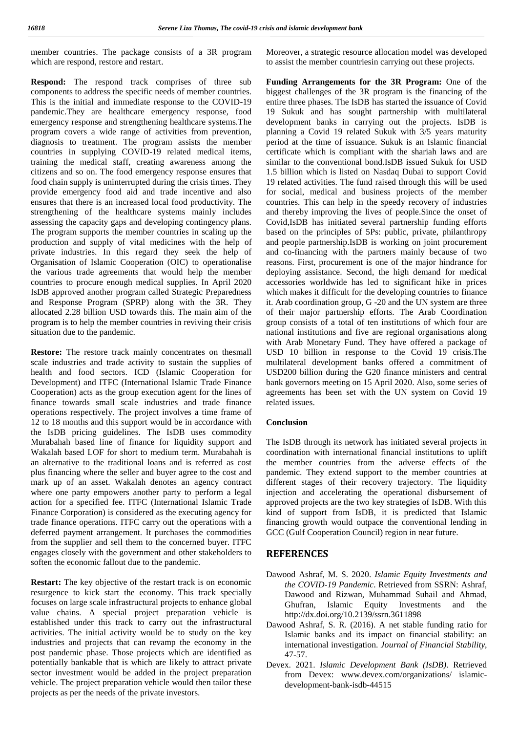member countries. The package consists of a 3R program which are respond, restore and restart.

**Respond:** The respond track comprises of three sub components to address the specific needs of member countries. This is the initial and immediate response to the COVID-19 pandemic.They are healthcare emergency response, food emergency response and strengthening healthcare systems.The program covers a wide range of activities from prevention, diagnosis to treatment. The program assists the member countries in supplying COVID-19 related medical items, training the medical staff, creating awareness among the citizens and so on. The food emergency response ensures that food chain supply is uninterrupted during the crisis times. They provide emergency food aid and trade incentive and also ensures that there is an increased local food productivity. The strengthening of the healthcare systems mainly includes assessing the capacity gaps and developing contingency plans. The program supports the member countries in scaling up the production and supply of vital medicines with the help of private industries. In this regard they seek the help of Organisation of Islamic Cooperation (OIC) to operationalise the various trade agreements that would help the member countries to procure enough medical supplies. In April 2020 IsDB approved another program called Strategic Preparedness and Response Program (SPRP) along with the 3R. They allocated 2.28 billion USD towards this. The main aim of the program is to help the member countries in reviving their crisis situation due to the pandemic.

**Restore:** The restore track mainly concentrates on thesmall scale industries and trade activity to sustain the supplies of health and food sectors. ICD (Islamic Cooperation for Development) and ITFC (International Islamic Trade Finance Cooperation) acts as the group execution agent for the lines of finance towards small scale industries and trade finance operations respectively. The project involves a time frame of 12 to 18 months and this support would be in accordance with the IsDB pricing guidelines. The IsDB uses commodity Murabahah based line of finance for liquidity support and Wakalah based LOF for short to medium term. Murabahah is an alternative to the traditional loans and is referred as cost plus financing where the seller and buyer agree to the cost and mark up of an asset. Wakalah denotes an agency contract where one party empowers another party to perform a legal action for a specified fee. ITFC (International Islamic Trade Finance Corporation) is considered as the executing agency for trade finance operations. ITFC carry out the operations with a deferred payment arrangement. It purchases the commodities from the supplier and sell them to the concerned buyer. ITFC engages closely with the government and other stakeholders to soften the economic fallout due to the pandemic.

**Restart:** The key objective of the restart track is on economic resurgence to kick start the economy. This track specially focuses on large scale infrastructural projects to enhance global value chains. A special project preparation vehicle is established under this track to carry out the infrastructural activities. The initial activity would be to study on the key industries and projects that can revamp the economy in the post pandemic phase. Those projects which are identified as potentially bankable that is which are likely to attract private sector investment would be added in the project preparation vehicle. The project preparation vehicle would then tailor these projects as per the needs of the private investors.

Moreover, a strategic resource allocation model was developed to assist the member countriesin carrying out these projects.

**Funding Arrangements for the 3R Program:** One of the biggest challenges of the 3R program is the financing of the entire three phases. The IsDB has started the issuance of Covid 19 Sukuk and has sought partnership with multilateral development banks in carrying out the projects. IsDB is planning a Covid 19 related Sukuk with 3/5 years maturity period at the time of issuance. Sukuk is an Islamic financial certificate which is compliant with the shariah laws and are similar to the conventional bond.IsDB issued Sukuk for USD 1.5 billion which is listed on Nasdaq Dubai to support Covid 19 related activities. The fund raised through this will be used for social, medical and business projects of the member countries. This can help in the speedy recovery of industries and thereby improving the lives of people.Since the onset of Covid,IsDB has initiated several partnership funding efforts based on the principles of 5Ps: public, private, philanthropy and people partnership.IsDB is working on joint procurement and co-financing with the partners mainly because of two reasons. First, procurement is one of the major hindrance for deploying assistance. Second, the high demand for medical accessories worldwide has led to significant hike in prices which makes it difficult for the developing countries to finance it. Arab coordination group, G -20 and the UN system are three of their major partnership efforts. The Arab Coordination group consists of a total of ten institutions of which four are national institutions and five are regional organisations along with Arab Monetary Fund. They have offered a package of USD 10 billion in response to the Covid 19 crisis.The multilateral development banks offered a commitment of USD200 billion during the G20 finance ministers and central bank governors meeting on 15 April 2020. Also, some series of agreements has been set with the UN system on Covid 19 related issues.

#### **Conclusion**

The IsDB through its network has initiated several projects in coordination with international financial institutions to uplift the member countries from the adverse effects of the pandemic. They extend support to the member countries at different stages of their recovery trajectory. The liquidity injection and accelerating the operational disbursement of approved projects are the two key strategies of IsDB. With this kind of support from IsDB, it is predicted that Islamic financing growth would outpace the conventional lending in GCC (Gulf Cooperation Council) region in near future.

#### **REFERENCES**

- Dawood Ashraf, M. S. 2020. *Islamic Equity Investments and the COVID-19 Pandemic*. Retrieved from SSRN: Ashraf, Dawood and Rizwan, Muhammad Suhail and Ahmad, Ghufran, Islamic Equity Investments and the http://dx.doi.org/10.2139/ssrn.3611898
- Dawood Ashraf, S. R. (2016). A net stable funding ratio for Islamic banks and its impact on financial stability: an international investigation. *Journal of Financial Stability*, 47-57.
- Devex. 2021. *Islamic Development Bank (IsDB)*. Retrieved from Devex: www.devex.com/organizations/ islamic development-bank-isdb-44515